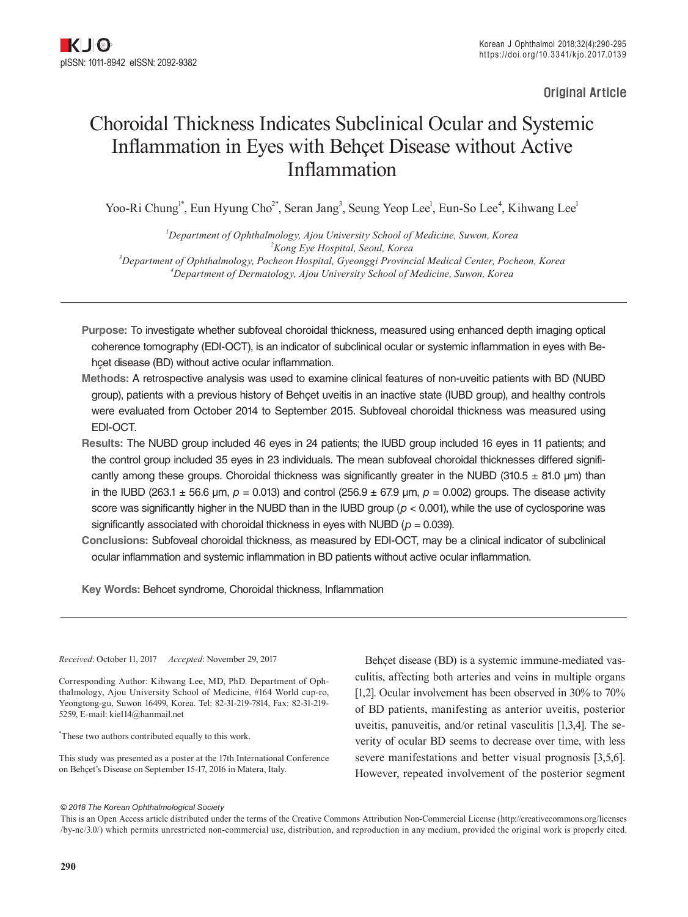Original Article

# Choroidal Thickness Indicates Subclinical Ocular and Systemic Inflammation in Eyes with Behçet Disease without Active Inflammation

Yoo-Ri Chung<sup>1\*</sup>, Eun Hyung Cho<sup>2\*</sup>, Seran Jang<sup>3</sup>, Seung Yeop Lee<sup>1</sup>, Eun-So Lee<sup>4</sup>, Kihwang Lee<sup>1</sup>

 *Department of Ophthalmology, Ajou University School of Medicine, Suwon, Korea Kong Eye Hospital, Seoul, Korea Department of Ophthalmology, Pocheon Hospital, Gyeonggi Provincial Medical Center, Pocheon, Korea Department of Dermatology, Ajou University School of Medicine, Suwon, Korea*

- **Purpose:** To investigate whether subfoveal choroidal thickness, measured using enhanced depth imaging optical coherence tomography (EDI-OCT), is an indicator of subclinical ocular or systemic inflammation in eyes with Behçet disease (BD) without active ocular inflammation.
- **Methods:** A retrospective analysis was used to examine clinical features of non-uveitic patients with BD (NUBD group), patients with a previous history of Behçet uveitis in an inactive state (IUBD group), and healthy controls were evaluated from October 2014 to September 2015. Subfoveal choroidal thickness was measured using EDI-OCT.

**Results:** The NUBD group included 46 eyes in 24 patients; the IUBD group included 16 eyes in 11 patients; and the control group included 35 eyes in 23 individuals. The mean subfoveal choroidal thicknesses differed significantly among these groups. Choroidal thickness was significantly greater in the NUBD (310.5  $\pm$  81.0 µm) than in the IUBD (263.1  $\pm$  56.6 μm,  $p = 0.013$ ) and control (256.9  $\pm$  67.9 μm,  $p = 0.002$ ) groups. The disease activity score was significantly higher in the NUBD than in the IUBD group ( $p < 0.001$ ), while the use of cyclosporine was significantly associated with choroidal thickness in eyes with NUBD ( $p = 0.039$ ).

**Conclusions:** Subfoveal choroidal thickness, as measured by EDI-OCT, may be a clinical indicator of subclinical ocular inflammation and systemic inflammation in BD patients without active ocular inflammation.

**Key Words:** Behcet syndrome, Choroidal thickness, Inflammation

*Received*: October 11, 2017 *Accepted*: November 29, 2017

Corresponding Author: Kihwang Lee, MD, PhD. Department of Ophthalmology, Ajou University School of Medicine, #164 World cup-ro, Yeongtong-gu, Suwon 16499, Korea. Tel: 82-31-219-7814, Fax: 82-31-219- 5259, E-mail: kie114@hanmail.net

\* These two authors contributed equally to this work.

This study was presented as a poster at the 17th International Conference on Behçet's Disease on September 15-17, 2016 in Matera, Italy.

Behçet disease (BD) is a systemic immune-mediated vasculitis, affecting both arteries and veins in multiple organs [1,2]. Ocular involvement has been observed in 30% to 70% of BD patients, manifesting as anterior uveitis, posterior uveitis, panuveitis, and/or retinal vasculitis [1,3,4]. The severity of ocular BD seems to decrease over time, with less severe manifestations and better visual prognosis [3,5,6]. However, repeated involvement of the posterior segment

#### *© 2018 The Korean Ophthalmological Society*

This is an Open Access article distributed under the terms of the Creative Commons Attribution Non-Commercial License (http://creativecommons.org/licenses /by-nc/3.0/) which permits unrestricted non-commercial use, distribution, and reproduction in any medium, provided the original work is properly cited.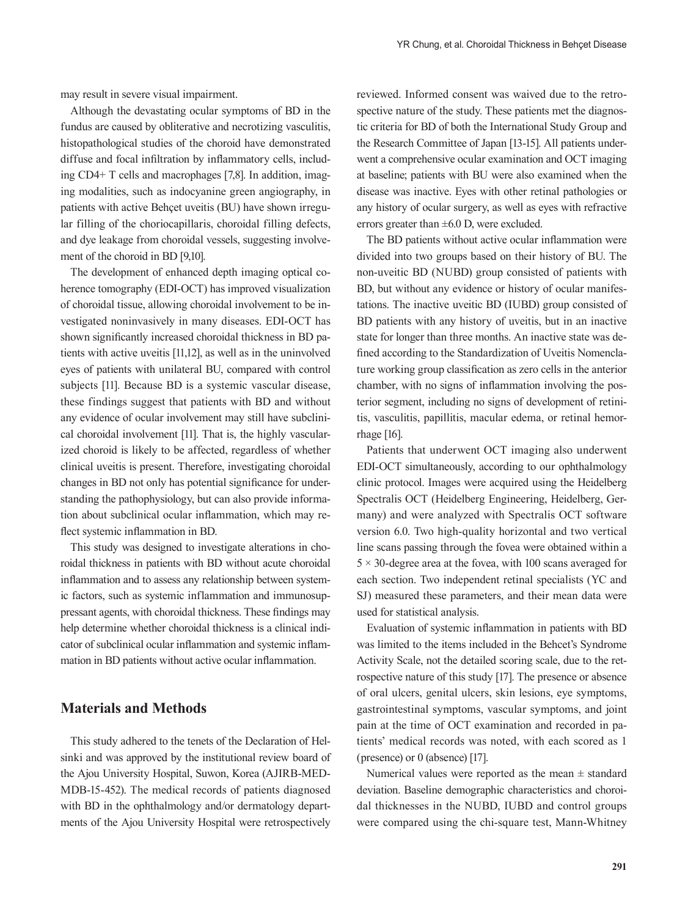may result in severe visual impairment.

Although the devastating ocular symptoms of BD in the fundus are caused by obliterative and necrotizing vasculitis, histopathological studies of the choroid have demonstrated diffuse and focal infiltration by inflammatory cells, including CD4+ T cells and macrophages [7,8]. In addition, imaging modalities, such as indocyanine green angiography, in patients with active Behçet uveitis (BU) have shown irregular filling of the choriocapillaris, choroidal filling defects, and dye leakage from choroidal vessels, suggesting involvement of the choroid in BD [9,10].

The development of enhanced depth imaging optical coherence tomography (EDI-OCT) has improved visualization of choroidal tissue, allowing choroidal involvement to be investigated noninvasively in many diseases. EDI-OCT has shown significantly increased choroidal thickness in BD patients with active uveitis [11,12], as well as in the uninvolved eyes of patients with unilateral BU, compared with control subjects [11]. Because BD is a systemic vascular disease, these findings suggest that patients with BD and without any evidence of ocular involvement may still have subclinical choroidal involvement [11]. That is, the highly vascularized choroid is likely to be affected, regardless of whether clinical uveitis is present. Therefore, investigating choroidal changes in BD not only has potential significance for understanding the pathophysiology, but can also provide information about subclinical ocular inflammation, which may reflect systemic inflammation in BD.

This study was designed to investigate alterations in choroidal thickness in patients with BD without acute choroidal inflammation and to assess any relationship between systemic factors, such as systemic inflammation and immunosuppressant agents, with choroidal thickness. These findings may help determine whether choroidal thickness is a clinical indicator of subclinical ocular inflammation and systemic inflammation in BD patients without active ocular inflammation.

### **Materials and Methods**

This study adhered to the tenets of the Declaration of Helsinki and was approved by the institutional review board of the Ajou University Hospital, Suwon, Korea (AJIRB-MED-MDB-15-452). The medical records of patients diagnosed with BD in the ophthalmology and/or dermatology departments of the Ajou University Hospital were retrospectively reviewed. Informed consent was waived due to the retrospective nature of the study. These patients met the diagnostic criteria for BD of both the International Study Group and the Research Committee of Japan [13-15]. All patients underwent a comprehensive ocular examination and OCT imaging at baseline; patients with BU were also examined when the disease was inactive. Eyes with other retinal pathologies or any history of ocular surgery, as well as eyes with refractive errors greater than  $\pm 6.0$  D, were excluded.

The BD patients without active ocular inflammation were divided into two groups based on their history of BU. The non-uveitic BD (NUBD) group consisted of patients with BD, but without any evidence or history of ocular manifestations. The inactive uveitic BD (IUBD) group consisted of BD patients with any history of uveitis, but in an inactive state for longer than three months. An inactive state was defined according to the Standardization of Uveitis Nomenclature working group classification as zero cells in the anterior chamber, with no signs of inflammation involving the posterior segment, including no signs of development of retinitis, vasculitis, papillitis, macular edema, or retinal hemorrhage [16].

Patients that underwent OCT imaging also underwent EDI-OCT simultaneously, according to our ophthalmology clinic protocol. Images were acquired using the Heidelberg Spectralis OCT (Heidelberg Engineering, Heidelberg, Germany) and were analyzed with Spectralis OCT software version 6.0. Two high-quality horizontal and two vertical line scans passing through the fovea were obtained within a  $5 \times 30$ -degree area at the fovea, with 100 scans averaged for each section. Two independent retinal specialists (YC and SJ) measured these parameters, and their mean data were used for statistical analysis.

Evaluation of systemic inflammation in patients with BD was limited to the items included in the Behcet's Syndrome Activity Scale, not the detailed scoring scale, due to the retrospective nature of this study [17]. The presence or absence of oral ulcers, genital ulcers, skin lesions, eye symptoms, gastrointestinal symptoms, vascular symptoms, and joint pain at the time of OCT examination and recorded in patients' medical records was noted, with each scored as 1 (presence) or 0 (absence) [17].

Numerical values were reported as the mean  $\pm$  standard deviation. Baseline demographic characteristics and choroidal thicknesses in the NUBD, IUBD and control groups were compared using the chi-square test, Mann-Whitney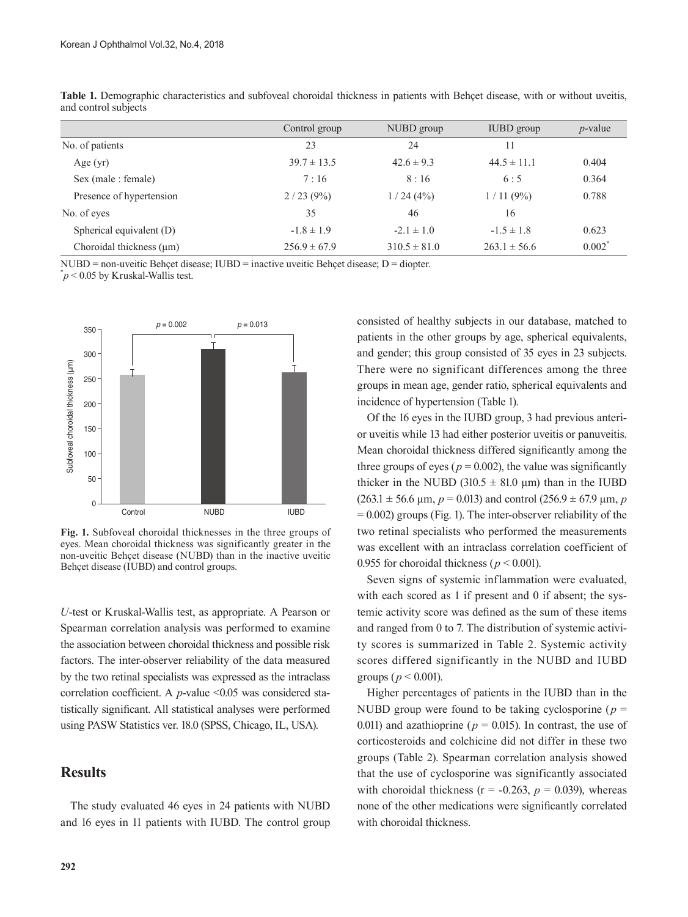|                          | Control group    | NUBD group       | <b>IUBD</b> group | $p$ -value |
|--------------------------|------------------|------------------|-------------------|------------|
| No. of patients          | 23               | 24               | 11                |            |
| Age $(yr)$               | $39.7 \pm 13.5$  | $42.6 \pm 9.3$   | $44.5 \pm 11.1$   | 0.404      |
| Sex (male : female)      | 7:16             | 8:16             | 6:5               | 0.364      |
| Presence of hypertension | $2/23(9\%)$      | 1/24(4%)         | 1/11(9%)          | 0.788      |
| No. of eyes              | 35               | 46               | 16                |            |
| Spherical equivalent (D) | $-1.8 \pm 1.9$   | $-2.1 \pm 1.0$   | $-1.5 \pm 1.8$    | 0.623      |
| Choroidal thickness (um) | $256.9 \pm 67.9$ | $310.5 \pm 81.0$ | $263.1 \pm 56.6$  | $0.002^*$  |

**Table 1.** Demographic characteristics and subfoveal choroidal thickness in patients with Behçet disease, with or without uveitis, and control subjects

 $NUBD = non-uveitic Beheet disease$ ;  $IUBD = inactive uveitic Beheet disease$ ;  $D = diopter$ .

 $p$  < 0.05 by Kruskal-Wallis test.



**Fig. 1.** Subfoveal choroidal thicknesses in the three groups of eyes. Mean choroidal thickness was significantly greater in the non-uveitic Behçet disease (NUBD) than in the inactive uveitic

*U*-test or Kruskal-Wallis test, as appropriate. A Pearson or Spearman correlation analysis was performed to examine the association between choroidal thickness and possible risk factors. The inter-observer reliability of the data measured by the two retinal specialists was expressed as the intraclass correlation coefficient. A *p*-value <0.05 was considered statistically significant. All statistical analyses were performed using PASW Statistics ver. 18.0 (SPSS, Chicago, IL, USA).

#### **Results**

The study evaluated 46 eyes in 24 patients with NUBD and 16 eyes in 11 patients with IUBD. The control group consisted of healthy subjects in our database, matched to patients in the other groups by age, spherical equivalents, and gender; this group consisted of 35 eyes in 23 subjects. There were no significant differences among the three groups in mean age, gender ratio, spherical equivalents and incidence of hypertension (Table 1).

Of the 16 eyes in the IUBD group, 3 had previous anterior uveitis while 13 had either posterior uveitis or panuveitis. Mean choroidal thickness differed significantly among the three groups of eyes ( $p = 0.002$ ), the value was significantly thicker in the NUBD (310.5  $\pm$  81.0 µm) than in the IUBD  $(263.1 \pm 56.6 \,\mu \text{m}, p = 0.013)$  and control  $(256.9 \pm 67.9 \,\mu \text{m}, p$  $= 0.002$ ) groups (Fig. 1). The inter-observer reliability of the two retinal specialists who performed the measurements was excellent with an intraclass correlation coefficient of 0.955 for choroidal thickness ( $p < 0.001$ ).

Seven signs of systemic inflammation were evaluated, with each scored as 1 if present and 0 if absent; the systemic activity score was defined as the sum of these items and ranged from 0 to 7. The distribution of systemic activity scores is summarized in Table 2. Systemic activity scores differed significantly in the NUBD and IUBD groups ( $p < 0.001$ ).

Higher percentages of patients in the IUBD than in the NUBD group were found to be taking cyclosporine ( $p =$ 0.011) and azathioprine ( $p = 0.015$ ). In contrast, the use of corticosteroids and colchicine did not differ in these two groups (Table 2). Spearman correlation analysis showed that the use of cyclosporine was significantly associated with choroidal thickness ( $r = -0.263$ ,  $p = 0.039$ ), whereas none of the other medications were significantly correlated with choroidal thickness.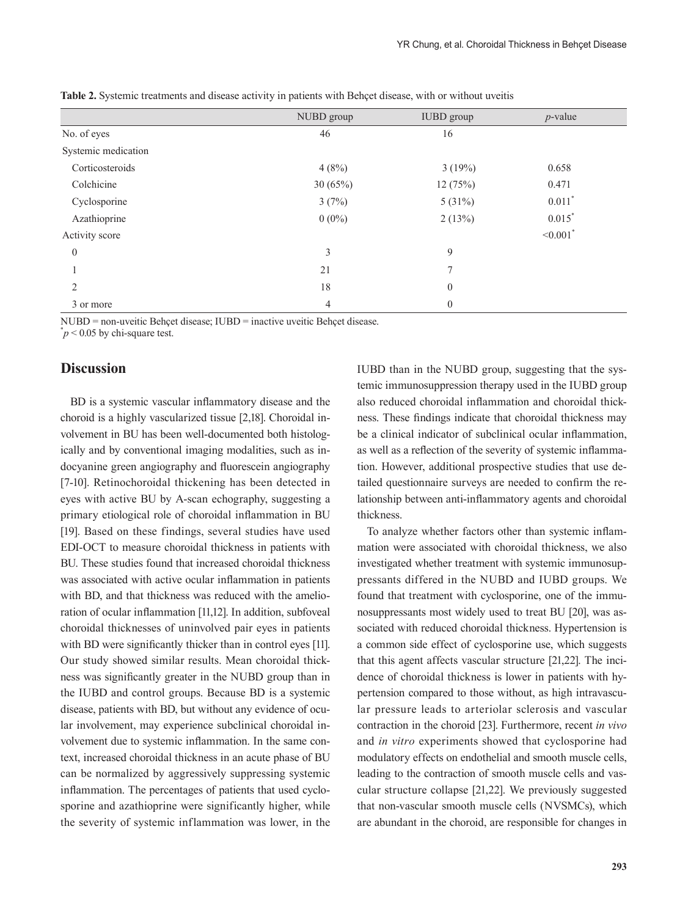|                     | NUBD group | <b>IUBD</b> group | $p$ -value             |
|---------------------|------------|-------------------|------------------------|
| No. of eyes         | 46         | 16                |                        |
| Systemic medication |            |                   |                        |
| Corticosteroids     | 4(8%)      | 3(19%)            | 0.658                  |
| Colchicine          | 30(65%)    | 12(75%)           | 0.471                  |
| Cyclosporine        | 3(7%)      | 5(31%)            | $0.011$ <sup>*</sup>   |
| Azathioprine        | $0(0\%)$   | 2(13%)            | $0.015$ <sup>*</sup>   |
| Activity score      |            |                   | $< 0.001$ <sup>*</sup> |
| $\theta$            | 3          | 9                 |                        |
|                     | 21         | $\overline{7}$    |                        |
| $\overline{2}$      | 18         | $\boldsymbol{0}$  |                        |
| 3 or more           | 4          | $\boldsymbol{0}$  |                        |
|                     |            |                   |                        |

**Table 2.** Systemic treatments and disease activity in patients with Behçet disease, with or without uveitis

NUBD = non-uveitic Behçet disease; IUBD = inactive uveitic Behçet disease.

 $p < 0.05$  by chi-square test.

#### **Discussion**

BD is a systemic vascular inflammatory disease and the choroid is a highly vascularized tissue [2,18]. Choroidal involvement in BU has been well-documented both histologically and by conventional imaging modalities, such as indocyanine green angiography and fluorescein angiography [7-10]. Retinochoroidal thickening has been detected in eyes with active BU by A-scan echography, suggesting a primary etiological role of choroidal inflammation in BU [19]. Based on these findings, several studies have used EDI-OCT to measure choroidal thickness in patients with BU. These studies found that increased choroidal thickness was associated with active ocular inflammation in patients with BD, and that thickness was reduced with the amelioration of ocular inflammation [11,12]. In addition, subfoveal choroidal thicknesses of uninvolved pair eyes in patients with BD were significantly thicker than in control eyes [11]. Our study showed similar results. Mean choroidal thickness was significantly greater in the NUBD group than in the IUBD and control groups. Because BD is a systemic disease, patients with BD, but without any evidence of ocular involvement, may experience subclinical choroidal involvement due to systemic inflammation. In the same context, increased choroidal thickness in an acute phase of BU can be normalized by aggressively suppressing systemic inflammation. The percentages of patients that used cyclosporine and azathioprine were significantly higher, while the severity of systemic inflammation was lower, in the IUBD than in the NUBD group, suggesting that the systemic immunosuppression therapy used in the IUBD group also reduced choroidal inflammation and choroidal thickness. These findings indicate that choroidal thickness may be a clinical indicator of subclinical ocular inflammation, as well as a reflection of the severity of systemic inflammation. However, additional prospective studies that use detailed questionnaire surveys are needed to confirm the relationship between anti-inflammatory agents and choroidal thickness.

To analyze whether factors other than systemic inflammation were associated with choroidal thickness, we also investigated whether treatment with systemic immunosuppressants differed in the NUBD and IUBD groups. We found that treatment with cyclosporine, one of the immunosuppressants most widely used to treat BU [20], was associated with reduced choroidal thickness. Hypertension is a common side effect of cyclosporine use, which suggests that this agent affects vascular structure [21,22]. The incidence of choroidal thickness is lower in patients with hypertension compared to those without, as high intravascular pressure leads to arteriolar sclerosis and vascular contraction in the choroid [23]. Furthermore, recent *in vivo*  and *in vitro* experiments showed that cyclosporine had modulatory effects on endothelial and smooth muscle cells, leading to the contraction of smooth muscle cells and vascular structure collapse [21,22]. We previously suggested that non-vascular smooth muscle cells (NVSMCs), which are abundant in the choroid, are responsible for changes in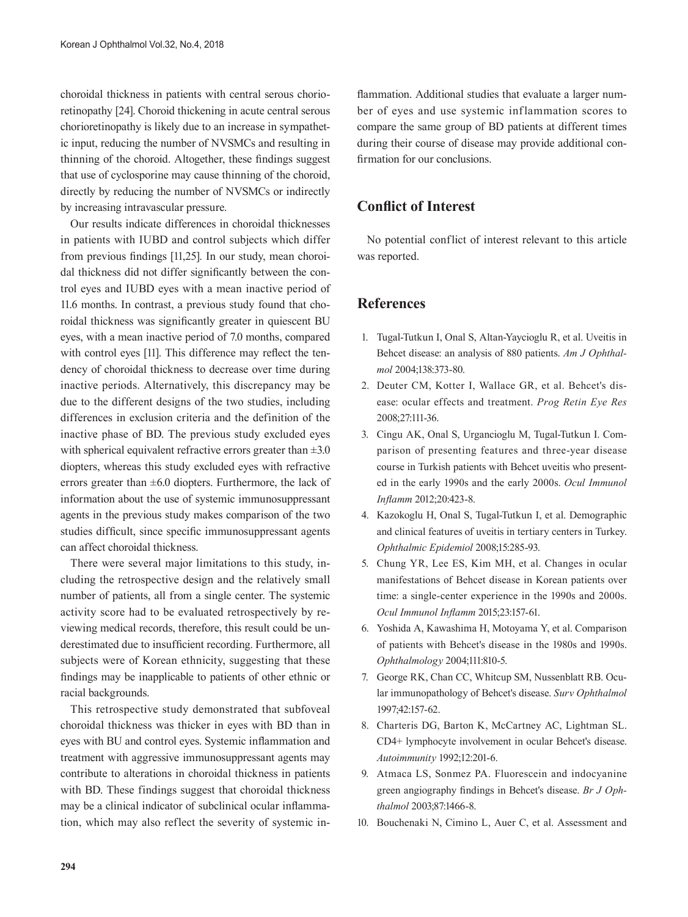choroidal thickness in patients with central serous chorioretinopathy [24]. Choroid thickening in acute central serous chorioretinopathy is likely due to an increase in sympathetic input, reducing the number of NVSMCs and resulting in thinning of the choroid. Altogether, these findings suggest that use of cyclosporine may cause thinning of the choroid, directly by reducing the number of NVSMCs or indirectly by increasing intravascular pressure.

Our results indicate differences in choroidal thicknesses in patients with IUBD and control subjects which differ from previous findings [11,25]. In our study, mean choroidal thickness did not differ significantly between the control eyes and IUBD eyes with a mean inactive period of 11.6 months. In contrast, a previous study found that choroidal thickness was significantly greater in quiescent BU eyes, with a mean inactive period of 7.0 months, compared with control eyes [11]. This difference may reflect the tendency of choroidal thickness to decrease over time during inactive periods. Alternatively, this discrepancy may be due to the different designs of the two studies, including differences in exclusion criteria and the definition of the inactive phase of BD. The previous study excluded eyes with spherical equivalent refractive errors greater than  $\pm 3.0$ diopters, whereas this study excluded eyes with refractive errors greater than  $\pm 6.0$  diopters. Furthermore, the lack of information about the use of systemic immunosuppressant agents in the previous study makes comparison of the two studies difficult, since specific immunosuppressant agents can affect choroidal thickness.

There were several major limitations to this study, including the retrospective design and the relatively small number of patients, all from a single center. The systemic activity score had to be evaluated retrospectively by reviewing medical records, therefore, this result could be underestimated due to insufficient recording. Furthermore, all subjects were of Korean ethnicity, suggesting that these findings may be inapplicable to patients of other ethnic or racial backgrounds.

This retrospective study demonstrated that subfoveal choroidal thickness was thicker in eyes with BD than in eyes with BU and control eyes. Systemic inflammation and treatment with aggressive immunosuppressant agents may contribute to alterations in choroidal thickness in patients with BD. These findings suggest that choroidal thickness may be a clinical indicator of subclinical ocular inflammation, which may also reflect the severity of systemic inflammation. Additional studies that evaluate a larger number of eyes and use systemic inflammation scores to compare the same group of BD patients at different times during their course of disease may provide additional confirmation for our conclusions.

## **Conflict of Interest**

No potential conflict of interest relevant to this article was reported.

#### **References**

- 1. Tugal-Tutkun I, Onal S, Altan-Yaycioglu R, et al. Uveitis in Behcet disease: an analysis of 880 patients. *Am J Ophthalmol* 2004;138:373-80.
- 2. Deuter CM, Kotter I, Wallace GR, et al. Behcet's disease: ocular effects and treatment. *Prog Retin Eye Res*  2008;27:111-36.
- 3. Cingu AK, Onal S, Urgancioglu M, Tugal-Tutkun I. Comparison of presenting features and three-year disease course in Turkish patients with Behcet uveitis who presented in the early 1990s and the early 2000s. *Ocul Immunol Inflamm* 2012;20:423-8.
- 4. Kazokoglu H, Onal S, Tugal-Tutkun I, et al. Demographic and clinical features of uveitis in tertiary centers in Turkey. *Ophthalmic Epidemiol* 2008;15:285-93.
- 5. Chung YR, Lee ES, Kim MH, et al. Changes in ocular manifestations of Behcet disease in Korean patients over time: a single-center experience in the 1990s and 2000s. *Ocul Immunol Inflamm* 2015;23:157-61.
- 6. Yoshida A, Kawashima H, Motoyama Y, et al. Comparison of patients with Behcet's disease in the 1980s and 1990s. *Ophthalmology* 2004;111:810-5.
- 7. George RK, Chan CC, Whitcup SM, Nussenblatt RB. Ocular immunopathology of Behcet's disease. *Surv Ophthalmol*  1997;42:157-62.
- 8. Charteris DG, Barton K, McCartney AC, Lightman SL. CD4+ lymphocyte involvement in ocular Behcet's disease. *Autoimmunity* 1992;12:201-6.
- 9. Atmaca LS, Sonmez PA. Fluorescein and indocyanine green angiography findings in Behcet's disease. *Br J Ophthalmol* 2003;87:1466-8.
- 10. Bouchenaki N, Cimino L, Auer C, et al. Assessment and